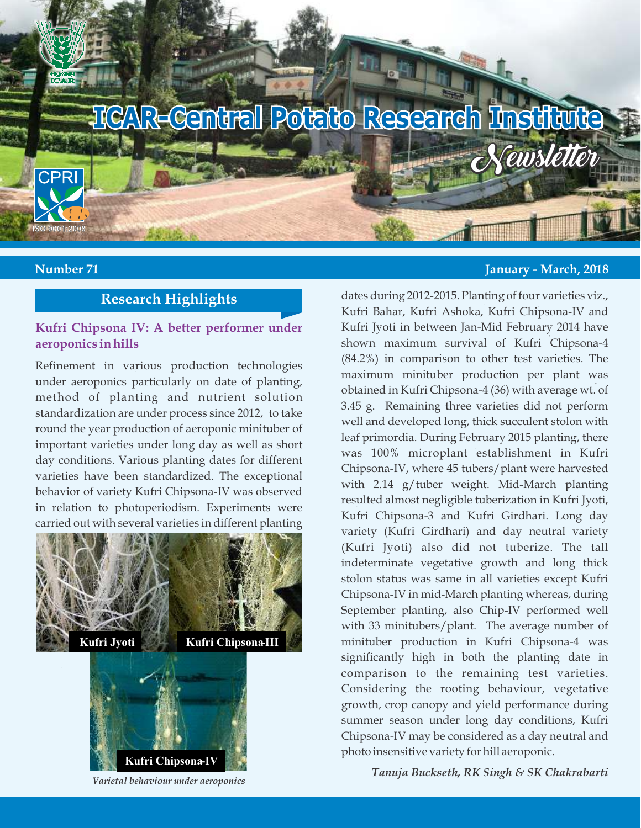

# **Research Highlights**

#### **Kufri Chipsona IV: A better performer under aeroponics in hills**

Refinement in various production technologies under aeroponics particularly on date of planting, method of planting and nutrient solution standardization are under process since 2012, to take round the year production of aeroponic minituber of important varieties under long day as well as short day conditions. Various planting dates for different varieties have been standardized. The exceptional behavior of variety Kufri Chipsona-IV was observed in relation to photoperiodism. Experiments were carried out with several varieties in different planting





 *Varietal behaviour under aeroponics*

#### **Number 71 January - March, 2018**

dates during 2012-2015. Planting of four varieties viz., Kufri Bahar, Kufri Ashoka, Kufri Chipsona-IV and Kufri Jyoti in between Jan-Mid February 2014 have shown maximum survival of Kufri Chipsona-4 (84.2%) in comparison to other test varieties. The maximum minituber production per plant was obtained in Kufri Chipsona-4 (36) with average wt. of 3.45 g. Remaining three varieties did not perform well and developed long, thick succulent stolon with leaf primordia. During February 2015 planting, there was 100% microplant establishment in Kufri Chipsona-IV, where 45 tubers/plant were harvested with 2.14 g/tuber weight. Mid-March planting resulted almost negligible tuberization in Kufri Jyoti, Kufri Chipsona-3 and Kufri Girdhari. Long day variety (Kufri Girdhari) and day neutral variety (Kufri Jyoti) also did not tuberize. The tall indeterminate vegetative growth and long thick stolon status was same in all varieties except Kufri Chipsona-IV in mid-March planting whereas, during September planting, also Chip-IV performed well with 33 minitubers/plant. The average number of minituber production in Kufri Chipsona-4 was significantly high in both the planting date in comparison to the remaining test varieties. Considering the rooting behaviour, vegetative growth, crop canopy and yield performance during summer season under long day conditions, Kufri Chipsona-IV may be considered as a day neutral and photo insensitive variety for hill aeroponic.

*Tanuja Buckseth, RK Singh & SK Chakrabarti*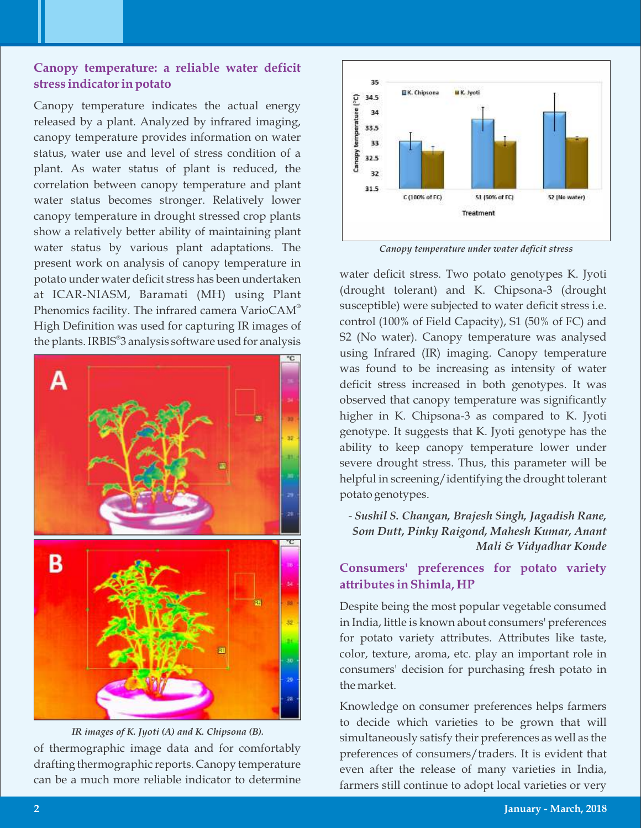#### **Canopy temperature: a reliable water deficit stress indicator in potato**

Canopy temperature indicates the actual energy released by a plant. Analyzed by infrared imaging, canopy temperature provides information on water status, water use and level of stress condition of a plant. As water status of plant is reduced, the correlation between canopy temperature and plant water status becomes stronger. Relatively lower canopy temperature in drought stressed crop plants show a relatively better ability of maintaining plant water status by various plant adaptations. The present work on analysis of canopy temperature in potato under water deficit stress has been undertaken at ICAR-NIASM, Baramati (MH) using Plant Phenomics facility. The infrared camera Vario $\mathsf{CAM}^\circ$ High Definition was used for capturing IR images of the plants. IRBIS<sup>®</sup>3 analysis software used for analysis



*IR images of K. Jyoti (A) and K. Chipsona (B).*

of thermographic image data and for comfortably drafting thermographic reports. Canopy temperature can be a much more reliable indicator to determine



*Canopy temperature under water decit stress* 

water deficit stress. Two potato genotypes K. Jyoti (drought tolerant) and K. Chipsona-3 (drought susceptible) were subjected to water deficit stress i.e. control (100% of Field Capacity), S1 (50% of FC) and S2 (No water). Canopy temperature was analysed using Infrared (IR) imaging. Canopy temperature was found to be increasing as intensity of water deficit stress increased in both genotypes. It was observed that canopy temperature was significantly higher in K. Chipsona-3 as compared to K. Jyoti genotype. It suggests that K. Jyoti genotype has the ability to keep canopy temperature lower under severe drought stress. Thus, this parameter will be helpful in screening/identifying the drought tolerant potato genotypes.

- *Sushil S. Changan, Brajesh Singh, Jagadish Rane, Som Dutt, Pinky Raigond, Mahesh Kumar, Anant Mali & Vidyadhar Konde*

#### **Consumers' preferences for potato variety attributes in Shimla, HP**

Despite being the most popular vegetable consumed in India, little is known about consumers' preferences for potato variety attributes. Attributes like taste, color, texture, aroma, etc. play an important role in consumers' decision for purchasing fresh potato in the market.

Knowledge on consumer preferences helps farmers to decide which varieties to be grown that will simultaneously satisfy their preferences as well as the preferences of consumers/traders. It is evident that even after the release of many varieties in India, farmers still continue to adopt local varieties or very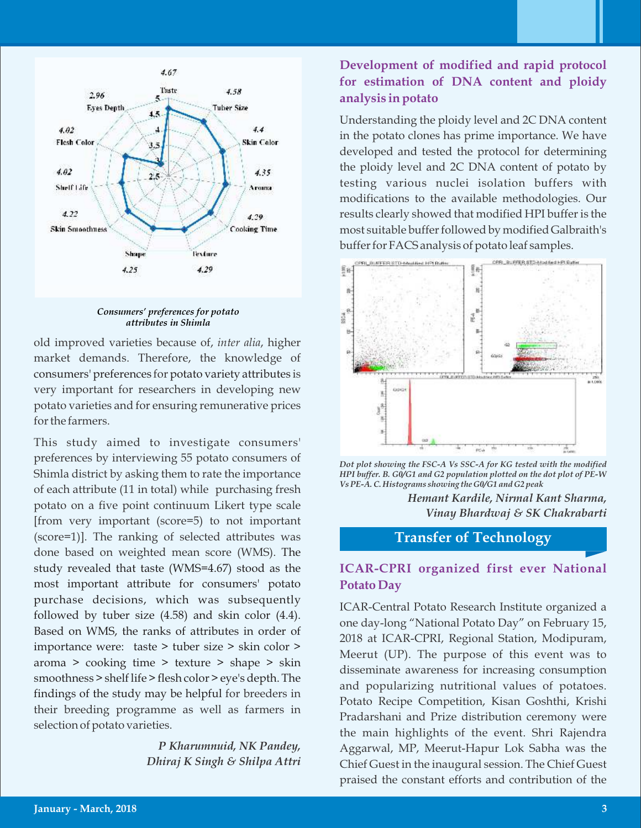

*Consumers' preferences for potato attributes in Shimla*

old improved varieties because of, *inter alia*, higher market demands. Therefore, the knowledge of consumers' preferences for potato variety attributes is very important for researchers in developing new potato varieties and for ensuring remunerative prices for the farmers.

This study aimed to investigate consumers' preferences by interviewing 55 potato consumers of Shimla district by asking them to rate the importance of each attribute (11 in total) while purchasing fresh potato on a five point continuum Likert type scale [from very important (score=5) to not important (score=1)]. The ranking of selected attributes was done based on weighted mean score (WMS). The study revealed that taste (WMS=4.67) stood as the most important attribute for consumers' potato purchase decisions, which was subsequently followed by tuber size (4.58) and skin color (4.4). Based on WMS, the ranks of attributes in order of importance were: taste > tuber size > skin color > aroma > cooking time > texture > shape > skin smoothness > shelf life > flesh color > eye's depth. The findings of the study may be helpful for breeders in their breeding programme as well as farmers in selection of potato varieties.

> *P Kharumnuid, NK Pandey, Dhiraj K Singh & Shilpa Attri*

## **Development of modified and rapid protocol for estimation of DNA content and ploidy analysis in potato**

Understanding the ploidy level and 2C DNA content in the potato clones has prime importance. We have developed and tested the protocol for determining the ploidy level and 2C DNA content of potato by testing various nuclei isolation buffers with modifications to the available methodologies. Our results clearly showed that modified HPI buffer is the most suitable buffer followed by modified Galbraith's buffer for FACS analysis of potato leaf samples.





*Hemant Kardile, Nirmal Kant Sharma, Vinay Bhardwaj & SK Chakrabarti*

**Transfer of Technology**

## **ICAR-CPRI organized first ever National Potato Day**

ICAR-Central Potato Research Institute organized a one day-long "National Potato Day" on February 15, 2018 at ICAR-CPRI, Regional Station, Modipuram, Meerut (UP). The purpose of this event was to disseminate awareness for increasing consumption and popularizing nutritional values of potatoes. Potato Recipe Competition, Kisan Goshthi, Krishi Pradarshani and Prize distribution ceremony were the main highlights of the event. Shri Rajendra Aggarwal, MP, Meerut-Hapur Lok Sabha was the Chief Guest in the inaugural session. The Chief Guest praised the constant efforts and contribution of the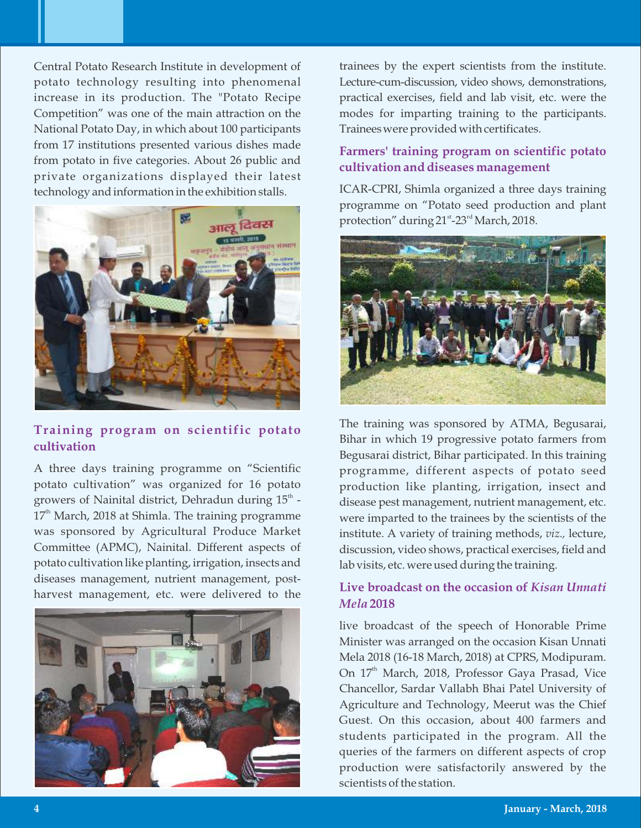Central Potato Research Institute in development of potato technology resulting into phenomenal increase in its production. The "Potato Recipe Competition" was one of the main attraction on the National Potato Day, in which about 100 participants from 17 institutions presented various dishes made from potato in five categories. About 26 public and private organizations displayed their latest technology and information in the exhibition stalls.



#### **Training program on scientific potato cultivation**

A three days training programme on "Scientific potato cultivation" was organized for 16 potato growers of Nainital district, Dehradun during  $15^{\text{th}}$  - $17<sup>th</sup>$  March, 2018 at Shimla. The training programme was sponsored by Agricultural Produce Market Committee (APMC), Nainital. Different aspects of potato cultivation like planting, irrigation, insects and diseases management, nutrient management, postharvest management, etc. were delivered to the



trainees by the expert scientists from the institute. Lecture-cum-discussion, video shows, demonstrations, practical exercises, field and lab visit, etc. were the modes for imparting training to the participants. Traineeswere provided with certificates.

## **Farmers' training program on scientific potato cultivation and diseases management**

ICAR-CPRI, Shimla organized a three days training programme on "Potato seed production and plant protection" during  $21^{\text{st}}$ -23<sup>rd</sup> March, 2018.



The training was sponsored by ATMA, Begusarai, Bihar in which 19 progressive potato farmers from Begusarai district, Bihar participated. In this training programme, different aspects of potato seed production like planting, irrigation, insect and disease pest management, nutrient management, etc. were imparted to the trainees by the scientists of the institute. A variety of training methods, *viz.,* lecture, discussion, video shows, practical exercises, field and lab visits, etc. were used during the training.

## **Live broadcast on the occasion of** *Kisan Unnati Mela* **2018**

live broadcast of the speech of Honorable Prime Minister was arranged on the occasion Kisan Unnati Mela 2018 (16-18 March, 2018) at CPRS, Modipuram. On  $17<sup>th</sup>$  March, 2018, Professor Gaya Prasad, Vice Chancellor, Sardar Vallabh Bhai Patel University of Agriculture and Technology, Meerut was the Chief Guest. On this occasion, about 400 farmers and students participated in the program. All the queries of the farmers on different aspects of crop production were satisfactorily answered by the scientists of the station.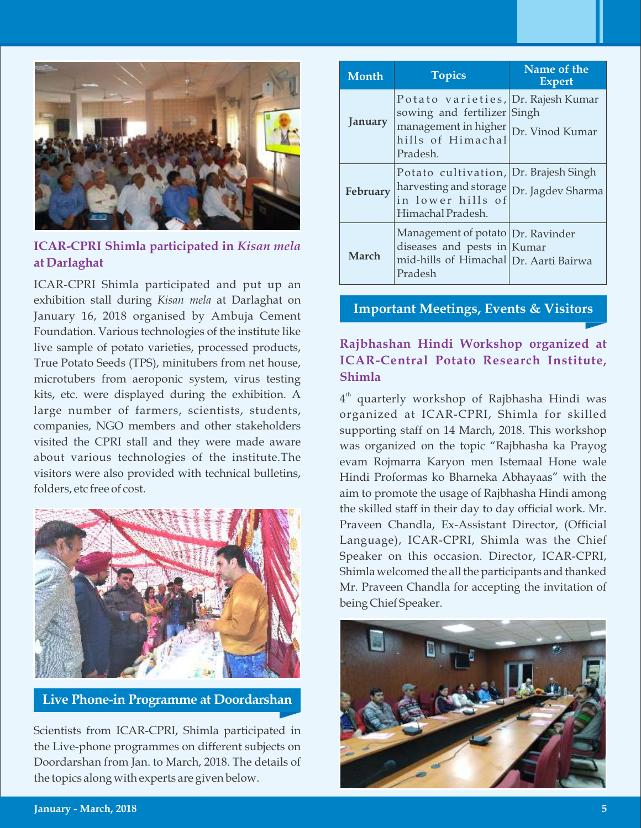

## **ICAR-CPRI Shimla participated in** *Kisan mela* **at Darlaghat**

ICAR-CPRI Shimla participated and put up an exhibition stall during *Kisan mela* at Darlaghat on January 16, 2018 organised by Ambuja Cement Foundation. Various technologies of the institute like live sample of potato varieties, processed products, True Potato Seeds (TPS), minitubers from net house, microtubers from aeroponic system, virus testing kits, etc. were displayed during the exhibition. A large number of farmers, scientists, students, companies, NGO members and other stakeholders visited the CPRI stall and they were made aware about various technologies of the institute.The visitors were also provided with technical bulletins, folders, etc free of cost.



**Live Phone-in Programme at Doordarshan**

Scientists from ICAR-CPRI, Shimla participated in the Live-phone programmes on different subjects on Doordarshan from Jan. to March, 2018. The details of the topics along with experts are given below.

| Month    | <b>Topics</b>                                                                                                                                 | Name of the<br><b>Expert</b> |
|----------|-----------------------------------------------------------------------------------------------------------------------------------------------|------------------------------|
| January  | Potato varieties, Dr. Rajesh Kumar<br>sowing and fertilizer Singh<br>management in higher<br>hills of Himachal<br>pr. Vinod Kumar<br>Pradesh. |                              |
| February | Potato cultivation, Dr. Brajesh Singh<br>harvesting and storage Dr. Jagdev Sharma<br>in lower hills of<br>Himachal Pradesh.                   |                              |
| March    | Management of potato   Dr. Ravinder<br>diseases and pests in $Kumar$<br>mid-hills of Himachal Dr. Aarti Bairwa<br>Pradesh                     |                              |

## **Important Meetings, Events & Visitors**

## **Rajbhashan Hindi Workshop organized at ICAR-Central Potato Research Institute, Shimla**

 $4<sup>th</sup>$  quarterly workshop of Rajbhasha Hindi was organized at ICAR-CPRI, Shimla for skilled supporting staff on 14 March, 2018. This workshop was organized on the topic "Rajbhasha ka Prayog evam Rojmarra Karyon men Istemaal Hone wale Hindi Proformas ko Bharneka Abhayaas" with the aim to promote the usage of Rajbhasha Hindi among the skilled staff in their day to day official work. Mr. Praveen Chandla, Ex-Assistant Director, (Official Language), ICAR-CPRI, Shimla was the Chief Speaker on this occasion. Director, ICAR-CPRI, Shimla welcomed the all the participants and thanked Mr. Praveen Chandla for accepting the invitation of being Chief Speaker.

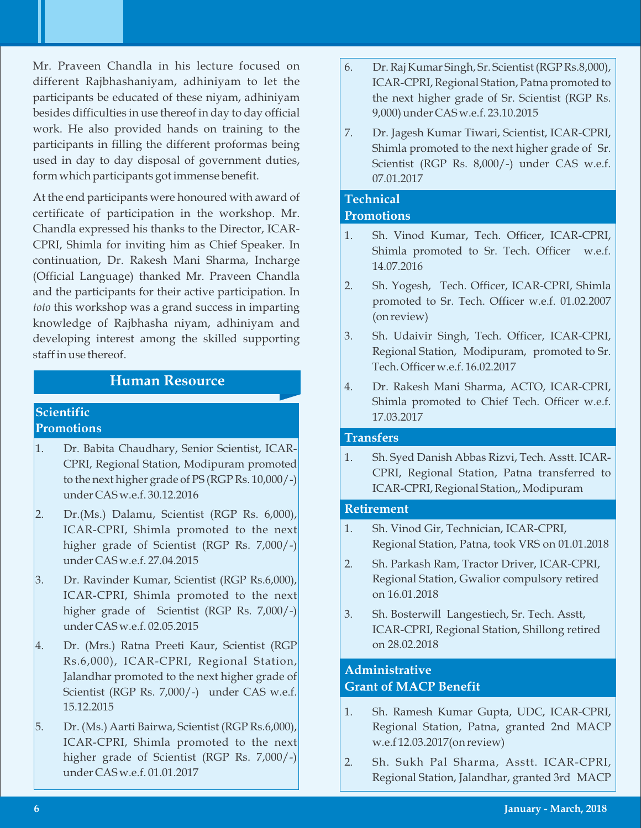Mr. Praveen Chandla in his lecture focused on different Rajbhashaniyam, adhiniyam to let the participants be educated of these niyam, adhiniyam besides difficulties in use thereof in day to day official work. He also provided hands on training to the participants in filling the different proformas being used in day to day disposal of government duties, form which participants got immense benefit.

At the end participants were honoured with award of certificate of participation in the workshop. Mr. Chandla expressed his thanks to the Director, ICAR-CPRI, Shimla for inviting him as Chief Speaker. In continuation, Dr. Rakesh Mani Sharma, Incharge (Official Language) thanked Mr. Praveen Chandla and the participants for their active participation. In *toto* this workshop was a grand success in imparting knowledge of Rajbhasha niyam, adhiniyam and developing interest among the skilled supporting staff in use thereof.

## **Human Resource**

#### **Scientific Promotions**

- 1. Dr. Babita Chaudhary, Senior Scientist, ICAR-CPRI, Regional Station, Modipuram promoted to the next higher grade of PS (RGP Rs. 10,000/-) under CAS w.e.f. 30.12.2016
- 2. Dr.(Ms.) Dalamu, Scientist (RGP Rs. 6,000), ICAR-CPRI, Shimla promoted to the next higher grade of Scientist (RGP Rs. 7,000/-) under CAS w.e.f. 27.04.2015
- 3. Dr. Ravinder Kumar, Scientist (RGP Rs.6,000), ICAR-CPRI, Shimla promoted to the next higher grade of Scientist (RGP Rs. 7,000/-) under CAS w.e.f. 02.05.2015
- 4. Dr. (Mrs.) Ratna Preeti Kaur, Scientist (RGP Rs.6,000), ICAR-CPRI, Regional Station, Jalandhar promoted to the next higher grade of Scientist (RGP Rs. 7,000/-) under CAS w.e.f. 15.12.2015
- 5. Dr. (Ms.) Aarti Bairwa, Scientist (RGP Rs.6,000), ICAR-CPRI, Shimla promoted to the next higher grade of Scientist (RGP Rs. 7,000/-) under CAS w.e.f. 01.01.2017
- 6. Dr. Raj Kumar Singh, Sr. Scientist (RGP Rs.8,000), ICAR-CPRI, Regional Station, Patna promoted to the next higher grade of Sr. Scientist (RGP Rs. 9,000) under CAS w.e.f. 23.10.2015
- 7. Dr. Jagesh Kumar Tiwari, Scientist, ICAR-CPRI, Shimla promoted to the next higher grade of Sr. Scientist (RGP Rs. 8,000/-) under CAS w.e.f. 07.01.2017

# **Technical**

#### **Promotions**

- 1. Sh. Vinod Kumar, Tech. Officer, ICAR-CPRI, Shimla promoted to Sr. Tech. Officer w.e.f. 14.07.2016
- 2. Sh. Yogesh, Tech. Officer, ICAR-CPRI, Shimla promoted to Sr. Tech. Officer w.e.f. 01.02.2007 (on review)
- 3. Sh. Udaivir Singh, Tech. Officer, ICAR-CPRI, Regional Station, Modipuram, promoted to Sr. Tech. Officer w.e.f. 16.02.2017
- 4. Dr. Rakesh Mani Sharma, ACTO, ICAR-CPRI, Shimla promoted to Chief Tech. Officer w.e.f. 17.03.2017

#### **Transfers**

1. Sh. Syed Danish Abbas Rizvi, Tech. Asstt. ICAR-CPRI, Regional Station, Patna transferred to ICAR-CPRI, Regional Station,, Modipuram

#### **Retirement**

- 1. Sh. Vinod Gir, Technician, ICAR-CPRI, Regional Station, Patna, took VRS on 01.01.2018
- 2. Sh. Parkash Ram, Tractor Driver, ICAR-CPRI, Regional Station, Gwalior compulsory retired on 16.01.2018
- 3. Sh. Bosterwill Langestiech, Sr. Tech. Asstt, ICAR-CPRI, Regional Station, Shillong retired on 28.02.2018

## **Administrative Grant of MACP Benefit**

- 1. Sh. Ramesh Kumar Gupta, UDC, ICAR-CPRI, Regional Station, Patna, granted 2nd MACP w.e.f 12.03.2017(on review)
- 2. Sh. Sukh Pal Sharma, Asstt. ICAR-CPRI, Regional Station, Jalandhar, granted 3rd MACP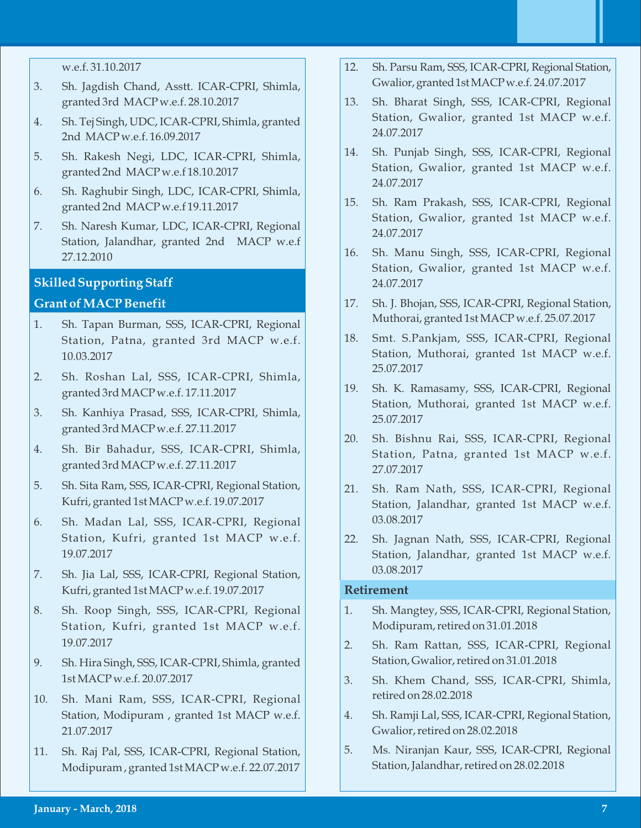- 3. Sh. Jagdish Chand, Asstt. ICAR-CPRI, Shimla, granted 3rd MACP w.e.f. 28.10.2017
- 4. Sh. Tej Singh, UDC, ICAR-CPRI, Shimla, granted 2nd MACP w.e.f. 16.09.2017
- 5. Sh. Rakesh Negi, LDC, ICAR-CPRI, Shimla, granted 2nd MACP w.e.f 18.10.2017
- 6. Sh. Raghubir Singh, LDC, ICAR-CPRI, Shimla, granted 2nd MACP w.e.f 19.11.2017
- 7. Sh. Naresh Kumar, LDC, ICAR-CPRI, Regional Station, Jalandhar, granted 2nd MACP w.e.f 27.12.2010

#### **Skilled Supporting Staff**

#### **Grant of MACP Benefit**

- 1. Sh. Tapan Burman, SSS, ICAR-CPRI, Regional Station, Patna, granted 3rd MACP w.e.f. 10.03.2017
- 2. Sh. Roshan Lal, SSS, ICAR-CPRI, Shimla, granted 3rd MACP w.e.f. 17.11.2017
- 3. Sh. Kanhiya Prasad, SSS, ICAR-CPRI, Shimla, granted 3rd MACP w.e.f. 27.11.2017
- 4. Sh. Bir Bahadur, SSS, ICAR-CPRI, Shimla, granted 3rd MACP w.e.f. 27.11.2017
- 5. Sh. Sita Ram, SSS, ICAR-CPRI, Regional Station, Kufri, granted 1st MACP w.e.f. 19.07.2017
- 6. Sh. Madan Lal, SSS, ICAR-CPRI, Regional Station, Kufri, granted 1st MACP w.e.f. 19.07.2017
- 7. Sh. Jia Lal, SSS, ICAR-CPRI, Regional Station, Kufri, granted 1st MACP w.e.f. 19.07.2017
- 8. Sh. Roop Singh, SSS, ICAR-CPRI, Regional Station, Kufri, granted 1st MACP w.e.f. 19.07.2017
- 9. Sh. Hira Singh, SSS, ICAR-CPRI, Shimla, granted 1st MACP w.e.f. 20.07.2017
- 10. Sh. Mani Ram, SSS, ICAR-CPRI, Regional Station, Modipuram , granted 1st MACP w.e.f. 21.07.2017
- 11. Sh. Raj Pal, SSS, ICAR-CPRI, Regional Station, Modipuram , granted 1st MACP w.e.f. 22.07.2017
- 12. Sh. Parsu Ram, SSS, ICAR-CPRI, Regional Station, Gwalior, granted 1st MACP w.e.f. 24.07.2017
- 13. Sh. Bharat Singh, SSS, ICAR-CPRI, Regional Station, Gwalior, granted 1st MACP w.e.f. 24.07.2017
- 14. Sh. Punjab Singh, SSS, ICAR-CPRI, Regional Station, Gwalior, granted 1st MACP w.e.f. 24.07.2017
- 15. Sh. Ram Prakash, SSS, ICAR-CPRI, Regional Station, Gwalior, granted 1st MACP w.e.f. 24.07.2017
- 16. Sh. Manu Singh, SSS, ICAR-CPRI, Regional Station, Gwalior, granted 1st MACP w.e.f. 24.07.2017
- 17. Sh. J. Bhojan, SSS, ICAR-CPRI, Regional Station, Muthorai, granted 1st MACP w.e.f. 25.07.2017
- 18. Smt. S.Pankjam, SSS, ICAR-CPRI, Regional Station, Muthorai, granted 1st MACP w.e.f. 25.07.2017
- 19. Sh. K. Ramasamy, SSS, ICAR-CPRI, Regional Station, Muthorai, granted 1st MACP w.e.f. 25.07.2017
- 20. Sh. Bishnu Rai, SSS, ICAR-CPRI, Regional Station, Patna, granted 1st MACP w.e.f. 27.07.2017
- 21. Sh. Ram Nath, SSS, ICAR-CPRI, Regional Station, Jalandhar, granted 1st MACP w.e.f. 03.08.2017
- 22. Sh. Jagnan Nath, SSS, ICAR-CPRI, Regional Station, Jalandhar, granted 1st MACP w.e.f. 03.08.2017

#### **Retirement**

- 1. Sh. Mangtey, SSS, ICAR-CPRI, Regional Station, Modipuram, retired on 31.01.2018
- 2. Sh. Ram Rattan, SSS, ICAR-CPRI, Regional Station, Gwalior, retired on 31.01.2018
- 3. Sh. Khem Chand, SSS, ICAR-CPRI, Shimla, retired on 28.02.2018
- 4. Sh. Ramji Lal, SSS, ICAR-CPRI, Regional Station, Gwalior, retired on 28.02.2018
- 5. Ms. Niranjan Kaur, SSS, ICAR-CPRI, Regional Station, Jalandhar, retired on 28.02.2018